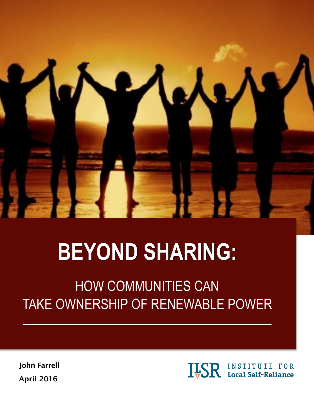

# **BEYOND SHARING:**

## HOW COMMUNITIES CAN TAKE OWNERSHIP OF RENEWABLE POWER

John Farrell April 2016

**ILSR** INSTITUTE FOR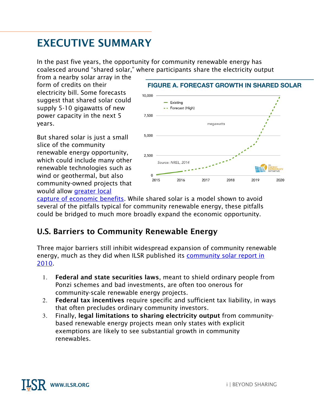### EXECUTIVE SUMMARY

In the past five years, the opportunity for community renewable energy has coalesced around "shared solar," where participants share the electricity output

from a nearby solar array in the form of credits on their electricity bill. Some forecasts suggest that shared solar could supply 5-10 gigawatts of new power capacity in the next 5 years.

But shared solar is just a small slice of the community renewable energy opportunity, which could include many other renewable technologies such as wind or geothermal, but also community-owned projects that would allow [greater local](http://www.ilsr.org/report-advantage-local-clean-energy-ownership-matters/) 



[capture of economic benefits.](http://www.ilsr.org/report-advantage-local-clean-energy-ownership-matters/) While shared solar is a model shown to avoid several of the pitfalls typical for community renewable energy, these pitfalls could be bridged to much more broadly expand the economic opportunity.

#### U.S. Barriers to Community Renewable Energy

Three major barriers still inhibit widespread expansion of community renewable energy, much as they did when ILSR published its community solar report in [2010](http://www.ilsr.org/community-solar-power-obstacles-and-opportunities/).

- 1. Federal and state securities laws, meant to shield ordinary people from Ponzi schemes and bad investments, are often too onerous for community-scale renewable energy projects.
- 2. Federal tax incentives require specific and sufficient tax liability, in ways that often precludes ordinary community investors.
- 3. Finally, legal limitations to sharing electricity output from communitybased renewable energy projects mean only states with explicit exemptions are likely to see substantial growth in community renewables.

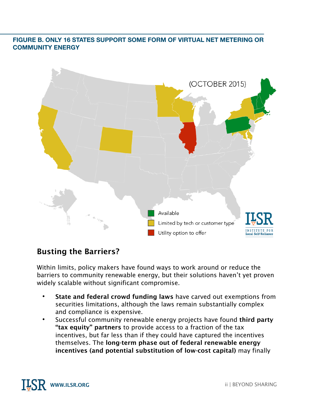#### **FIGURE B. ONLY 16 STATES SUPPORT SOME FORM OF VIRTUAL NET METERING OR COMMUNITY ENERGY**



#### Busting the Barriers?

Within limits, policy makers have found ways to work around or reduce the barriers to community renewable energy, but their solutions haven't yet proven widely scalable without significant compromise.

- **•** State and federal crowd funding laws have carved out exemptions from securities limitations, although the laws remain substantially complex and compliance is expensive.
- **•** Successful community renewable energy projects have found third party "tax equity" partners to provide access to a fraction of the tax incentives, but far less than if they could have captured the incentives themselves. The long-term phase out of federal renewable energy incentives (and potential substitution of low-cost capital) may finally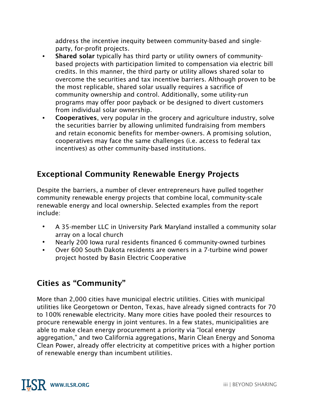address the incentive inequity between community-based and singleparty, for-profit projects.

- **•** Shared solar typically has third party or utility owners of communitybased projects with participation limited to compensation via electric bill credits. In this manner, the third party or utility allows shared solar to overcome the securities and tax incentive barriers. Although proven to be the most replicable, shared solar usually requires a sacrifice of community ownership and control. Additionally, some utility-run programs may offer poor payback or be designed to divert customers from individual solar ownership.
- **•** Cooperatives, very popular in the grocery and agriculture industry, solve the securities barrier by allowing unlimited fundraising from members and retain economic benefits for member-owners. A promising solution, cooperatives may face the same challenges (i.e. access to federal tax incentives) as other community-based institutions.

#### Exceptional Community Renewable Energy Projects

Despite the barriers, a number of clever entrepreneurs have pulled together community renewable energy projects that combine local, community-scale renewable energy and local ownership. Selected examples from the report include:

- A 35-member LLC in University Park Maryland installed a community solar array on a local church
- Nearly 200 Iowa rural residents financed 6 community-owned turbines
- Over 600 South Dakota residents are owners in a 7-turbine wind power project hosted by Basin Electric Cooperative

#### Cities as "Community"

More than 2,000 cities have municipal electric utilities. Cities with municipal utilities like Georgetown or Denton, Texas, have already signed contracts for 70 to 100% renewable electricity. Many more cities have pooled their resources to procure renewable energy in joint ventures. In a few states, municipalities are able to make clean energy procurement a priority via "local energy aggregation," and two California aggregations, Marin Clean Energy and Sonoma Clean Power, already offer electricity at competitive prices with a higher portion of renewable energy than incumbent utilities.

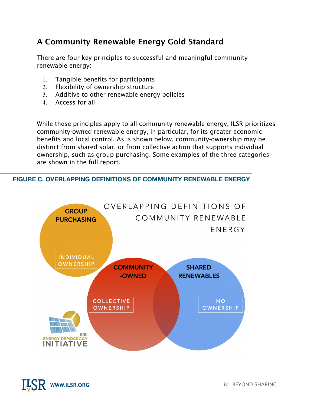#### A Community Renewable Energy Gold Standard

There are four key principles to successful and meaningful community renewable energy:

- 1. Tangible benefits for participants
- 2. Flexibility of ownership structure
- 3. Additive to other renewable energy policies
- 4. Access for all

While these principles apply to all community renewable energy, ILSR prioritizes community-owned renewable energy, in particular, for its greater economic benefits and local control. As is shown below, community-ownership may be distinct from shared solar, or from collective action that supports individual ownership, such as group purchasing. Some examples of the three categories are shown in the full report.

#### **FIGURE C. OVERLAPPING DEFINITIONS OF COMMUNITY RENEWABLE ENERGY**